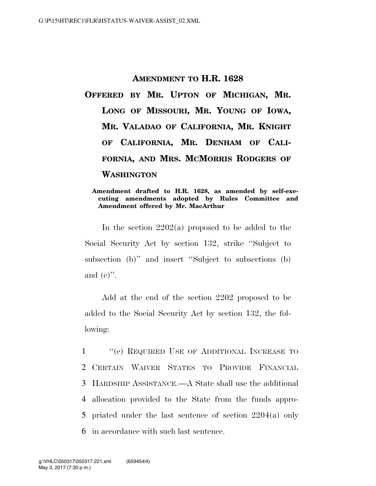## **AMENDMENT TO H.R. 1628**

**OFFERED BY MR. UPTON OF MICHIGAN, MR. LONG OF MISSOURI, MR. YOUNG OF IOWA, MR. VALADAO OF CALIFORNIA, MR. KNIGHT OF CALIFORNIA, MR. DENHAM OF CALI-FORNIA, AND MRS. MCMORRIS RODGERS OF WASHINGTON**

## **Amendment drafted to H.R. 1628, as amended by self-executing amendments adopted by Rules Committee and Amendment offered by Mr. MacArthur**

In the section 2202(a) proposed to be added to the Social Security Act by section 132, strike ''Subject to subsection (b)" and insert "Subject to subsections (b) and  $(e)$ ".

Add at the end of the section 2202 proposed to be added to the Social Security Act by section 132, the following:

1 "(c) REQUIRED USE OF ADDITIONAL INCREASE TO CERTAIN WAIVER STATES TO PROVIDE FINANCIAL HARDSHIP ASSISTANCE.—A State shall use the additional allocation provided to the State from the funds appro- priated under the last sentence of section 2204(a) only in accordance with such last sentence.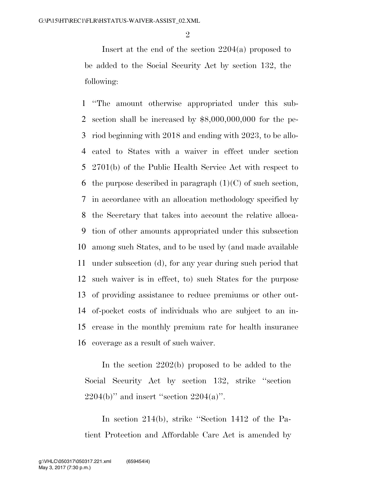$\mathfrak{D}$ 

Insert at the end of the section 2204(a) proposed to be added to the Social Security Act by section 132, the following:

 ''The amount otherwise appropriated under this sub- section shall be increased by \$8,000,000,000 for the pe- riod beginning with 2018 and ending with 2023, to be allo- cated to States with a waiver in effect under section 2701(b) of the Public Health Service Act with respect to 6 the purpose described in paragraph  $(1)(C)$  of such section, in accordance with an allocation methodology specified by the Secretary that takes into account the relative alloca- tion of other amounts appropriated under this subsection among such States, and to be used by (and made available under subsection (d), for any year during such period that such waiver is in effect, to) such States for the purpose of providing assistance to reduce premiums or other out- of-pocket costs of individuals who are subject to an in- crease in the monthly premium rate for health insurance coverage as a result of such waiver.

In the section 2202(b) proposed to be added to the Social Security Act by section 132, strike ''section  $2204(b)$ " and insert "section  $2204(a)$ ".

In section 214(b), strike ''Section 1412 of the Patient Protection and Affordable Care Act is amended by